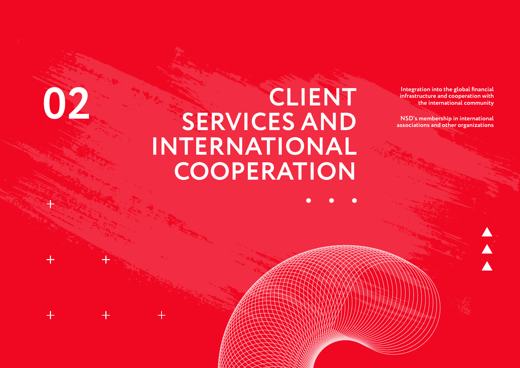# **CLIENT SERVICES AND INTERNATIONAL COOPERATION CLIENT**<br> **IDENT** Integration into the global financial<br> **IDENT** Infrastructure and cooperation with<br>
the international community<br> **IDENT** ISD's membership in international community<br> **IDENT** ISD's membership in internatio

**infrastructure and cooperation with the international community**

**NSD's membership in international associations and other organizations**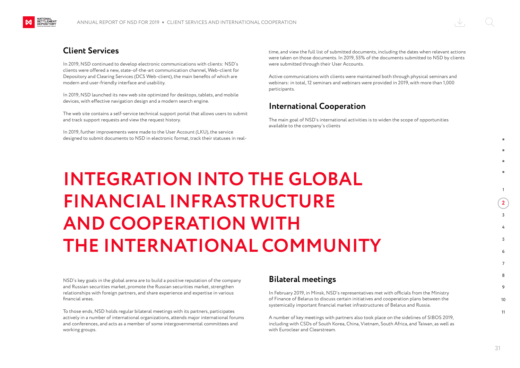# **Client Services**

NATIONAL<br>SETTLEMENT<br>DEPOSITORY

In 2019, NSD continued to develop electronic communications with clients: NSD's clients were offered a new, state-of-the-art communication channel, Web-client for Depository and Clearing Services (DCS Web-client), the main benefits of which are modern and user-friendly interface and usability.

In 2019, NSD launched its new web site optimized for desktops, tablets, and mobile devices, with effective navigation design and a modern search engine.

The web site contains a self-service technical support portal that allows users to submit and track support requests and view the request history.

In 2019, further improvements were made to the User Account (LKU), the service designed to submit documents to NSD in electronic format, track their statuses in realtime, and view the full list of submitted documents, including the dates when relevant actions were taken on those documents. In 2019, 55% of the documents submitted to NSD by clients were submitted through their User Accounts.

Active communications with clients were maintained both through physical seminars and webinars: in total, 12 seminars and webinars were provided in 2019, with more than 1,000 participants.

# **International Cooperation**

The main goal of NSD's international activities is to widen the scope of opportunities available to the company's clients

**INTEGRATION INTO THE GLOBAL FINANCIAL INFRASTRUCTURE AND COOPERATION WITH THE INTERNATIONAL COMMUNITY**

NSD's key goals in the global arena are to build a positive reputation of the company and Russian securities market, promote the Russian securities market, strengthen relationships with foreign partners, and share experience and expertise in various financial areas.

To those ends, NSD holds regular bilateral meetings with its partners, participates actively in a number of international organizations, attends major international forums and conferences, and acts as a member of some intergovernmental committees and working groups.

# **Bilateral meetings**

In February 2019, in Minsk, NSD's representatives met with officials from the Ministry of Finance of Belarus to discuss certain initiatives and cooperation plans between the systemically important financial market infrastructures of Belarus and Russia.

A number of key meetings with partners also took place on the sidelines of SIBOS 2019, including with CSDs of South Korea, China, Vietnam, South Africa, and Taiwan, as well as with Euroclear and Clearstream.

1

**2**  $\overline{2}$ 

> 4 5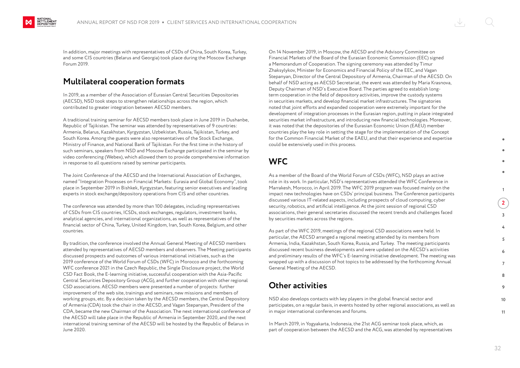

In addition, major meetings with representatives of CSDs of China, South Korea, Turkey, and some CIS countries (Belarus and Georgia) took place during the Moscow Exchange Forum 2019.

# **Multilateral cooperation formats**

In 2019, as a member of the Association of Eurasian Central Securities Depositories (AECSD), NSD took steps to strengthen relationships across the region, which contributed to greater integration between AECSD members.

A traditional training seminar for AECSD members took place in June 2019 in Dushanbe, Republic of Tajikistan. The seminar was attended by representatives of 9 countries: Armenia, Belarus, Kazakhstan, Kyrgyzstan, Uzbekistan, Russia, Tajikistan, Turkey, and South Korea. Among the guests were also representatives of the Stock Exchange, Ministry of Finance, and National Bank of Tajikistan. For the first time in the history of such seminars, speakers from NSD and Moscow Exchange participated in the seminar by video conferencing (Webex), which allowed them to provide comprehensive information in response to all questions raised by seminar participants.

The Joint Conference of the AECSD and the International Association of Exchanges, named "Integration Processes on Financial Markets: Eurasia and Global Economy", took place in September 2019 in Bishkek, Kyrgyzstan, featuring senior executives and leading experts in stock exchange/depository operations from CIS and other countries.

The conference was attended by more than 100 delegates, including representatives of CSDs from CIS countries, ICSDs, stock exchanges, regulators, investment banks, analytical agencies, and international organizations, as well as representatives of the financial sector of China, Turkey, United Kingdom, Iran, South Korea, Belgium, and other countries.

By tradition, the conference involved the Annual General Meeting of AECSD members attended by representatives of AECSD members and observers. The Meeting participants discussed prospects and outcomes of various international initiatives, such as the 2019 conference of the World Forum of CSDs (WFC) in Morocco and the forthcoming WFC conference 2021 in the Czech Republic, the Single Disclosure project, the World CSD Fact Book, the E-learning initiative, successful cooperation with the Asia-Pacific Central Securities Depository Group (ACG), and further cooperation with other regional CSD associations. AECSD members were presented a number of projects: further improvement of the web site, trainings and seminars, new missions and members of working groups, etc. By a decision taken by the AECSD members, the Central Depository of Armenia (CDA) took the chair in the AECSD, and Vagan Stepanyan, President of the CDA, became the new Chairman of the Association. The next international conference of the AECSD will take place in the Republic of Armenia in September 2020, and the next international training seminar of the AECSD will be hosted by the Republic of Belarus in June 2020.

On 14 November 2019, in Moscow, the AECSD and the Advisory Committee on Financial Markets of the Board of the Eurasian Economic Commission (EEC) signed a Memorandum of Cooperation. The signing ceremony was attended by Timur Zhaksylykov, Minister for Economics and Financial Policy of the EEC, and Vagan Stepanyan, Director of the Central Depository of Armenia, Chairman of the AECSD. On behalf of NSD acting as AECSD Secretariat, the event was attended by Maria Krasnova, Deputy Chairman of NSD's Executive Board. The parties agreed to establish longterm cooperation in the field of depository activities, improve the custody systems in securities markets, and develop financial market infrastructures. The signatories noted that joint efforts and expanded cooperation were extremely important for the development of integration processes in the Eurasian region, putting in place integrated securities market infrastructure, and introducing new financial technologies. Moreover, it was noted that the depositories of the Eurasian Economic Union (EAEU) member countries play the key role in setting the stage for the implementation of the Concept for the Common Financial Market of the EAEU, and that their experience and expertise could be extensively used in this process.

# **WFC**

As a member of the Board of the World Forum of CSDs (WFC), NSD plays an active role in its work. In particular, NSD's representatives attended the WFC Conference in Marrakesh, Morocco, in April 2019. The WFC 2019 program was focused mainly on the impact new technologies have on CSDs' principal business. The Conference participants discussed various IT-related aspects, including prospects of cloud computing, cyber security, robotics, and artificial intelligence. At the joint session of regional CSD associations, their general secretaries discussed the recent trends and challenges faced by securities markets across the regions.

As part of the WFC 2019, meetings of the regional CSD associations were held. In particular, the AECSD arranged a regional meeting attended by its members from Armenia, India, Kazakhstan, South Korea, Russia, and Turkey. The meeting participants discussed recent business developments and were updated on the AECSD's activities and preliminary results of the WFC's E-learning initiative development. The meeting was wrapped up with a discussion of hot topics to be addressed by the forthcoming Annual General Meeting of the AECSD.

# **Other activities**

NSD also develops contacts with key players in the global financial sector and participates, on a regular basis, in events hosted by other regional associations, as well as in major international conferences and forums.

In March 2019, in Yogyakarta, Indonesia, the 21st ACG seminar took place, which, as part of cooperation between the AECSD and the ACG, was attended by representatives

1 **2**  $\overline{2}$ 

> 4 5

10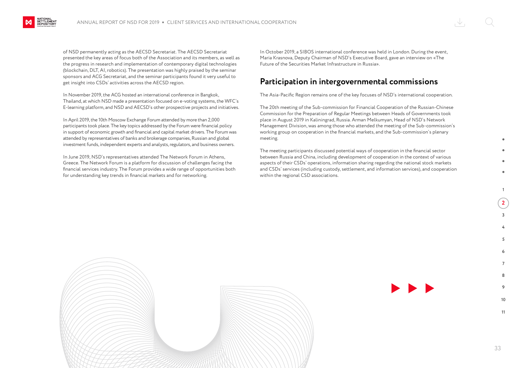

of NSD permanently acting as the AECSD Secretariat. The AECSD Secretariat presented the key areas of focus both of the Association and its members, as well as the progress in research and implementation of contemporary digital technologies (blockchain, DLT, AI, robotics). The presentation was highly praised by the seminar sponsors and ACG Secretariat, and the seminar participants found it very useful to get insight into CSDs' activities across the AECSD region.

In November 2019, the ACG hosted an international conference in Bangkok, Thailand, at which NSD made a presentation focused on e-voting systems, the WFC's E-learning platform, and NSD and AECSD's other prospective projects and initiatives.

In April 2019, the 10th Moscow Exchange Forum attended by more than 2,000 participants took place. The key topics addressed by the Forum were financial policy in support of economic growth and financial and capital market drivers. The Forum was attended by representatives of banks and brokerage companies, Russian and global investment funds, independent experts and analysts, regulators, and business owners.

In June 2019, NSD's representatives attended The Network Forum in Athens, Greece. The Network Forum is a platform for discussion of challenges facing the financial services industry. The Forum provides a wide range of opportunities both for understanding key trends in financial markets and for networking.

In October 2019, a SIBOS international conference was held in London. During the event, Maria Krasnova, Deputy Chairman of NSD's Executive Board, gave an interview on «The Future of the Securities Market Infrastructure in Russia».

### **Participation in intergovernmental commissions**

The Asia-Pacific Region remains one of the key focuses of NSD's international cooperation.

The 20th meeting of the Sub-commission for Financial Cooperation of the Russian-Chinese Commission for the Preparation of Regular Meetings between Heads of Governments took place in August 2019 in Kaliningrad, Russia. Arman Melkumyan, Head of NSD's Network Management Division, was among those who attended the meeting of the Sub-commission's working group on cooperation in the financial markets, and the Sub-commission's plenary meeting.

The meeting participants discussed potential ways of cooperation in the financial sector between Russia and China, including development of cooperation in the context of various aspects of their CSDs' operations, information sharing regarding the national stock markets and CSDs' services (including custody, settlement, and information services), and cooperation within the regional CSD associations.



1

**2**  $\overline{2}$ 

10